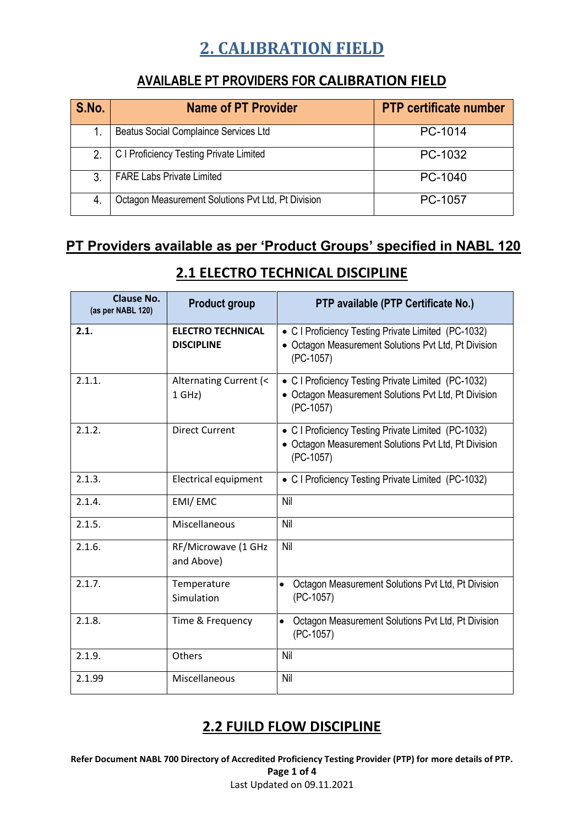### **AVAILABLE PT PROVIDERS FOR CALIBRATION FIELD**

| S.No.          | <b>Name of PT Provider</b>                         | <b>PTP certificate number</b> |
|----------------|----------------------------------------------------|-------------------------------|
|                | Beatus Social Complaince Services Ltd              | PC-1014                       |
| 2 <sub>1</sub> | C I Proficiency Testing Private Limited            | PC-1032                       |
| 3.             | <b>FARE Labs Private Limited</b>                   | PC-1040                       |
|                | Octagon Measurement Solutions Pvt Ltd, Pt Division | PC-1057                       |

### **PT Providers available as per 'Product Groups' specified in NABL 120**

### **2.1 ELECTRO TECHNICAL DISCIPLINE**

| Clause No.<br>(as per NABL 120) | <b>Product group</b>                          | PTP available (PTP Certificate No.)                                                                                      |
|---------------------------------|-----------------------------------------------|--------------------------------------------------------------------------------------------------------------------------|
| 2.1.                            | <b>ELECTRO TECHNICAL</b><br><b>DISCIPLINE</b> | • C I Proficiency Testing Private Limited (PC-1032)<br>• Octagon Measurement Solutions Pvt Ltd, Pt Division<br>(PC-1057) |
| 2.1.1.                          | Alternating Current (<<br>1 GHz)              | • C I Proficiency Testing Private Limited (PC-1032)<br>• Octagon Measurement Solutions Pvt Ltd, Pt Division<br>(PC-1057) |
| 2.1.2.                          | <b>Direct Current</b>                         | • C I Proficiency Testing Private Limited (PC-1032)<br>• Octagon Measurement Solutions Pvt Ltd, Pt Division<br>(PC-1057) |
| 2.1.3.                          | <b>Electrical equipment</b>                   | • C I Proficiency Testing Private Limited (PC-1032)                                                                      |
| 2.1.4.                          | EMI/EMC                                       | Nil                                                                                                                      |
| 2.1.5.                          | Miscellaneous                                 | Nil                                                                                                                      |
| 2.1.6.                          | RF/Microwave (1 GHz<br>and Above)             | Nil                                                                                                                      |
| 2.1.7.                          | Temperature<br>Simulation                     | Octagon Measurement Solutions Pvt Ltd, Pt Division<br>(PC-1057)                                                          |
| 2.1.8.                          | Time & Frequency                              | Octagon Measurement Solutions Pvt Ltd, Pt Division<br>$\bullet$<br>(PC-1057)                                             |
| 2.1.9.                          | Others                                        | Nil                                                                                                                      |
| 2.1.99                          | Miscellaneous                                 | Nil                                                                                                                      |

## **2.2 FUILD FLOW DISCIPLINE**

**Refer Document NABL 700 Directory of Accredited Proficiency Testing Provider (PTP) for more details of PTP. Page 1 of 4** Last Updated on 09.11.2021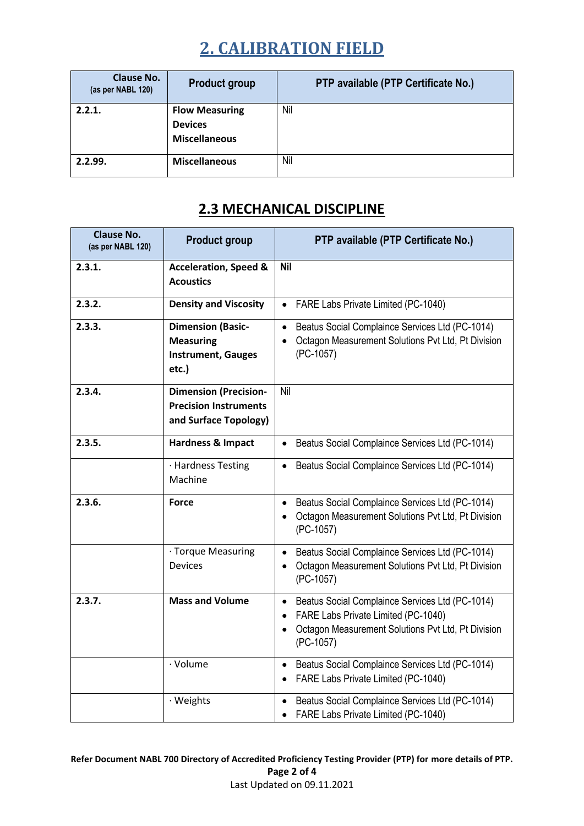| <b>Clause No.</b><br>(as per NABL 120) | <b>Product group</b>                                            | PTP available (PTP Certificate No.) |
|----------------------------------------|-----------------------------------------------------------------|-------------------------------------|
| 2.2.1.                                 | <b>Flow Measuring</b><br><b>Devices</b><br><b>Miscellaneous</b> | Nil                                 |
| 2.2.99.                                | <b>Miscellaneous</b>                                            | Nil                                 |

## **2.3 MECHANICAL DISCIPLINE**

| <b>Clause No.</b><br>(as per NABL 120) | <b>Product group</b>                                                                  | PTP available (PTP Certificate No.)                                                                                                                                    |
|----------------------------------------|---------------------------------------------------------------------------------------|------------------------------------------------------------------------------------------------------------------------------------------------------------------------|
| 2.3.1.                                 | <b>Acceleration, Speed &amp;</b><br><b>Acoustics</b>                                  | <b>Nil</b>                                                                                                                                                             |
| 2.3.2.                                 | <b>Density and Viscosity</b>                                                          | FARE Labs Private Limited (PC-1040)<br>$\bullet$                                                                                                                       |
| 2.3.3.                                 | <b>Dimension (Basic-</b><br><b>Measuring</b><br><b>Instrument, Gauges</b><br>etc.)    | Beatus Social Complaince Services Ltd (PC-1014)<br>$\bullet$<br>Octagon Measurement Solutions Pvt Ltd, Pt Division<br>(PC-1057)                                        |
| 2.3.4.                                 | <b>Dimension (Precision-</b><br><b>Precision Instruments</b><br>and Surface Topology) | Nil                                                                                                                                                                    |
| 2.3.5.                                 | Hardness & Impact                                                                     | Beatus Social Complaince Services Ltd (PC-1014)<br>$\bullet$                                                                                                           |
|                                        | · Hardness Testing<br>Machine                                                         | Beatus Social Complaince Services Ltd (PC-1014)                                                                                                                        |
| 2.3.6.                                 | <b>Force</b>                                                                          | Beatus Social Complaince Services Ltd (PC-1014)<br>$\bullet$<br>Octagon Measurement Solutions Pvt Ltd, Pt Division<br>$\bullet$<br>(PC-1057)                           |
|                                        | · Torque Measuring<br><b>Devices</b>                                                  | Beatus Social Complaince Services Ltd (PC-1014)<br>Octagon Measurement Solutions Pvt Ltd, Pt Division<br>$\bullet$<br>(PC-1057)                                        |
| 2.3.7.                                 | <b>Mass and Volume</b>                                                                | Beatus Social Complaince Services Ltd (PC-1014)<br>$\bullet$<br>FARE Labs Private Limited (PC-1040)<br>Octagon Measurement Solutions Pvt Ltd, Pt Division<br>(PC-1057) |
|                                        | · Volume                                                                              | Beatus Social Complaince Services Ltd (PC-1014)<br>$\bullet$<br>FARE Labs Private Limited (PC-1040)                                                                    |
|                                        | · Weights                                                                             | Beatus Social Complaince Services Ltd (PC-1014)<br>FARE Labs Private Limited (PC-1040)                                                                                 |

**Refer Document NABL 700 Directory of Accredited Proficiency Testing Provider (PTP) for more details of PTP. Page 2 of 4** Last Updated on 09.11.2021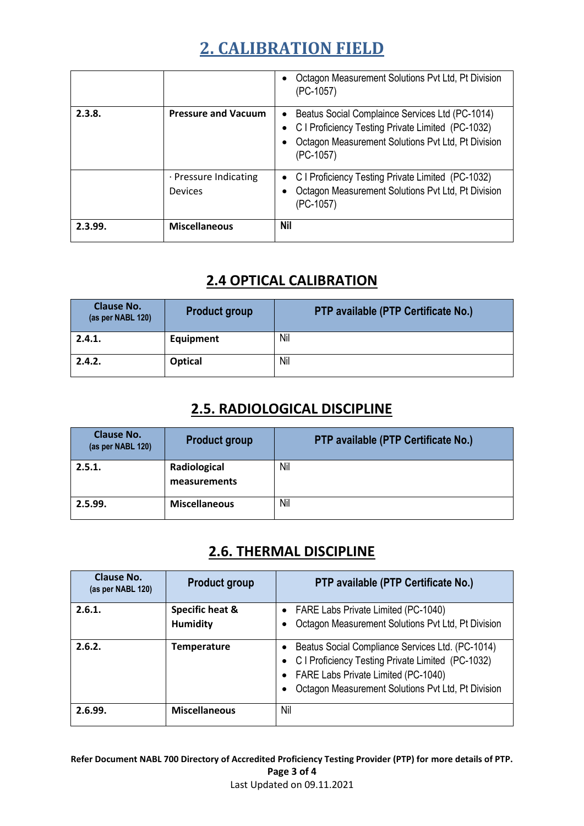|         |                                  | Octagon Measurement Solutions Pvt Ltd, Pt Division<br>(PC-1057)                                                                                                         |
|---------|----------------------------------|-------------------------------------------------------------------------------------------------------------------------------------------------------------------------|
| 2.3.8.  | <b>Pressure and Vacuum</b>       | Beatus Social Complaince Services Ltd (PC-1014)<br>C I Proficiency Testing Private Limited (PC-1032)<br>Octagon Measurement Solutions Pvt Ltd, Pt Division<br>(PC-1057) |
|         | · Pressure Indicating<br>Devices | C I Proficiency Testing Private Limited (PC-1032)<br>Octagon Measurement Solutions Pvt Ltd, Pt Division<br>(PC-1057)                                                    |
| 2.3.99. | <b>Miscellaneous</b>             | <b>Nil</b>                                                                                                                                                              |

# **2.4 OPTICAL CALIBRATION**

| <b>Clause No.</b><br>(as per NABL 120) | <b>Product group</b> | PTP available (PTP Certificate No.) |
|----------------------------------------|----------------------|-------------------------------------|
| 2.4.1.                                 | Equipment            | Nil                                 |
| 2.4.2.                                 | Optical              | Nil                                 |

### **2.5. RADIOLOGICAL DISCIPLINE**

| <b>Clause No.</b><br>(as per NABL 120) | <b>Product group</b>         | PTP available (PTP Certificate No.) |
|----------------------------------------|------------------------------|-------------------------------------|
| 2.5.1.                                 | Radiological<br>measurements | Nil                                 |
| 2.5.99.                                | <b>Miscellaneous</b>         | Nil                                 |

## **2.6. THERMAL DISCIPLINE**

| Clause No.<br>(as per NABL 120) | <b>Product group</b>               | PTP available (PTP Certificate No.)                                                                                                                                                                  |
|---------------------------------|------------------------------------|------------------------------------------------------------------------------------------------------------------------------------------------------------------------------------------------------|
| 2.6.1.                          | Specific heat &<br><b>Humidity</b> | • FARE Labs Private Limited (PC-1040)<br>Octagon Measurement Solutions Pvt Ltd, Pt Division                                                                                                          |
| 2.6.2.                          | <b>Temperature</b>                 | Beatus Social Compliance Services Ltd. (PC-1014)<br>• C I Proficiency Testing Private Limited (PC-1032)<br>FARE Labs Private Limited (PC-1040)<br>Octagon Measurement Solutions Pvt Ltd, Pt Division |
| 2.6.99.                         | <b>Miscellaneous</b>               | Nil                                                                                                                                                                                                  |

**Refer Document NABL 700 Directory of Accredited Proficiency Testing Provider (PTP) for more details of PTP. Page 3 of 4** Last Updated on 09.11.2021